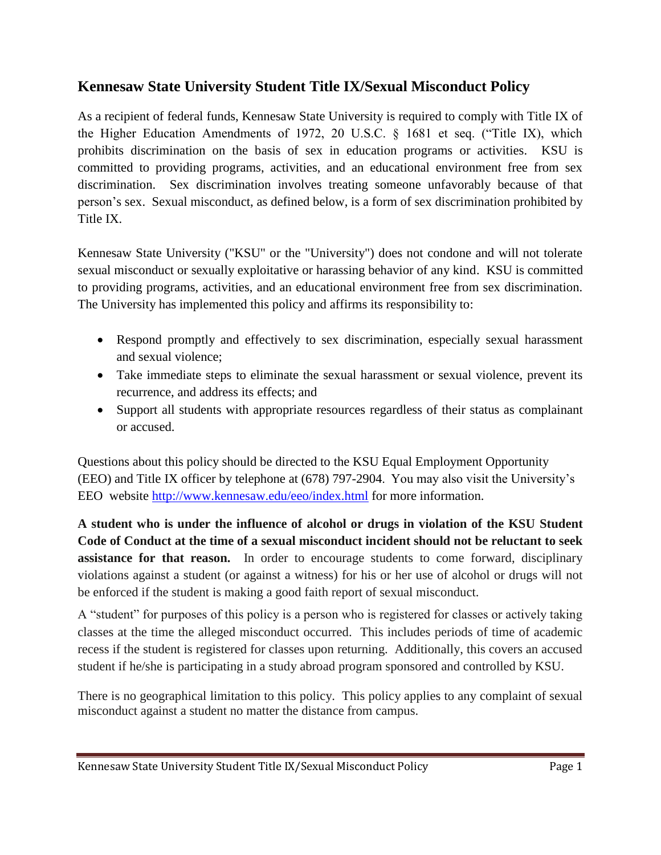# **Kennesaw State University Student Title IX/Sexual Misconduct Policy**

As a recipient of federal funds, Kennesaw State University is required to comply with Title IX of the Higher Education Amendments of 1972, 20 U.S.C. § 1681 et seq. ("Title IX), which prohibits discrimination on the basis of sex in education programs or activities. KSU is committed to providing programs, activities, and an educational environment free from sex discrimination. Sex discrimination involves treating someone unfavorably because of that person's sex. Sexual misconduct, as defined below, is a form of sex discrimination prohibited by Title IX.

Kennesaw State University ("KSU" or the "University") does not condone and will not tolerate sexual misconduct or sexually exploitative or harassing behavior of any kind. KSU is committed to providing programs, activities, and an educational environment free from sex discrimination. The University has implemented this policy and affirms its responsibility to:

- Respond promptly and effectively to sex discrimination, especially sexual harassment and sexual violence;
- Take immediate steps to eliminate the sexual harassment or sexual violence, prevent its recurrence, and address its effects; and
- Support all students with appropriate resources regardless of their status as complainant or accused.

Questions about this policy should be directed to the KSU Equal Employment Opportunity (EEO) and Title IX officer by telephone at (678) 797-2904. You may also visit the University's EEO website<http://www.kennesaw.edu/eeo/index.html> for more information.

**A student who is under the influence of alcohol or drugs in violation of the KSU Student Code of Conduct at the time of a sexual misconduct incident should not be reluctant to seek assistance for that reason.** In order to encourage students to come forward, disciplinary violations against a student (or against a witness) for his or her use of alcohol or drugs will not be enforced if the student is making a good faith report of sexual misconduct.

A "student" for purposes of this policy is a person who is registered for classes or actively taking classes at the time the alleged misconduct occurred. This includes periods of time of academic recess if the student is registered for classes upon returning. Additionally, this covers an accused student if he/she is participating in a study abroad program sponsored and controlled by KSU.

There is no geographical limitation to this policy. This policy applies to any complaint of sexual misconduct against a student no matter the distance from campus.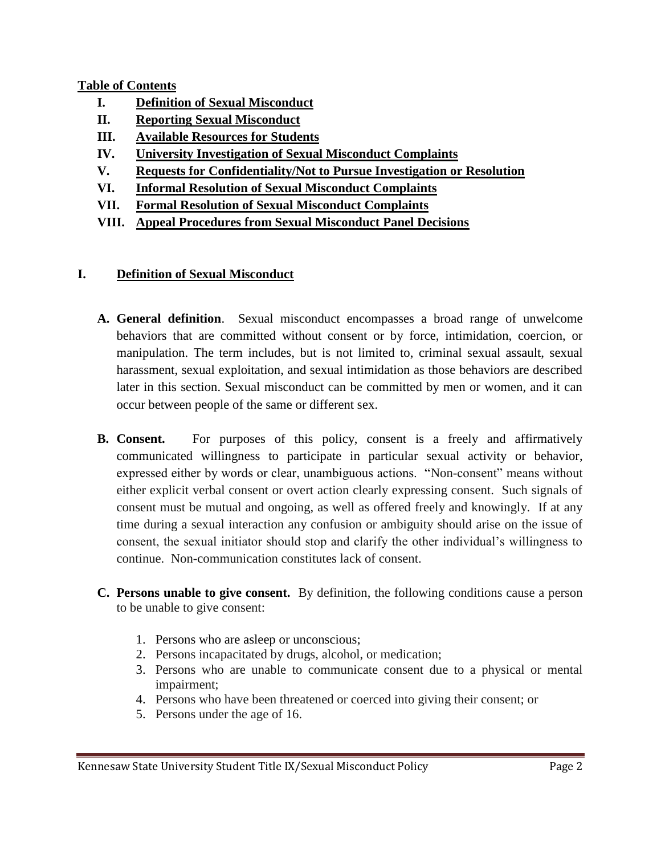## **Table of Contents**

- **I. Definition of Sexual Misconduct**
- **II. Reporting Sexual Misconduct**
- **III. Available Resources for Students**
- **IV. University Investigation of Sexual Misconduct Complaints**
- **V. Requests for Confidentiality/Not to Pursue Investigation or Resolution**
- **VI. Informal Resolution of Sexual Misconduct Complaints**
- **VII. Formal Resolution of Sexual Misconduct Complaints**
- **VIII. Appeal Procedures from Sexual Misconduct Panel Decisions**

#### **I. Definition of Sexual Misconduct**

- **A. General definition**. Sexual misconduct encompasses a broad range of unwelcome behaviors that are committed without consent or by force, intimidation, coercion, or manipulation. The term includes, but is not limited to, criminal sexual assault, sexual harassment, sexual exploitation, and sexual intimidation as those behaviors are described later in this section. Sexual misconduct can be committed by men or women, and it can occur between people of the same or different sex.
- **B. Consent.** For purposes of this policy, consent is a freely and affirmatively communicated willingness to participate in particular sexual activity or behavior, expressed either by words or clear, unambiguous actions. "Non-consent" means without either explicit verbal consent or overt action clearly expressing consent. Such signals of consent must be mutual and ongoing, as well as offered freely and knowingly. If at any time during a sexual interaction any confusion or ambiguity should arise on the issue of consent, the sexual initiator should stop and clarify the other individual's willingness to continue. Non-communication constitutes lack of consent.
- **C. Persons unable to give consent.** By definition, the following conditions cause a person to be unable to give consent:
	- 1. Persons who are asleep or unconscious;
	- 2. Persons incapacitated by drugs, alcohol, or medication;
	- 3. Persons who are unable to communicate consent due to a physical or mental impairment;
	- 4. Persons who have been threatened or coerced into giving their consent; or
	- 5. Persons under the age of 16.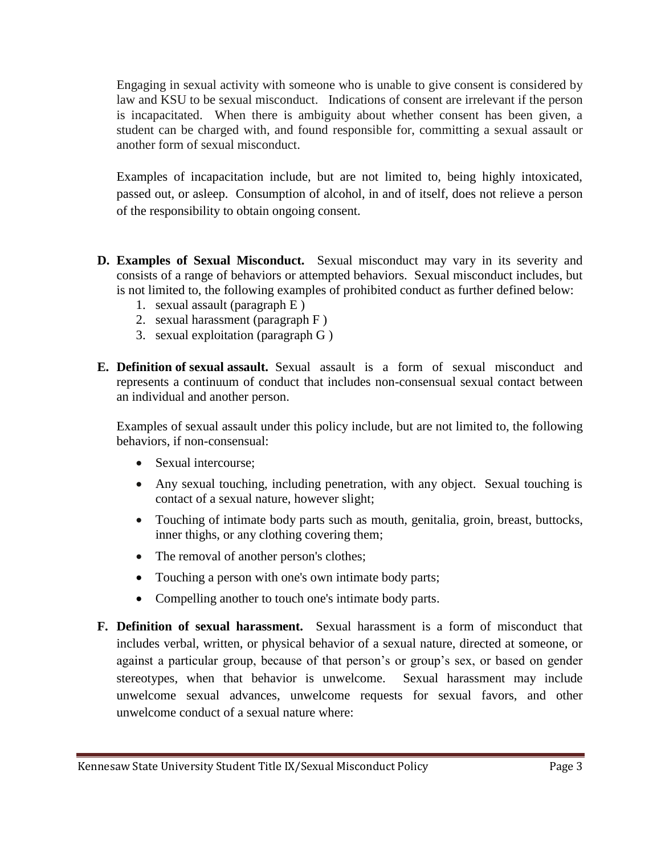Engaging in sexual activity with someone who is unable to give consent is considered by law and KSU to be sexual misconduct. Indications of consent are irrelevant if the person is incapacitated. When there is ambiguity about whether consent has been given, a student can be charged with, and found responsible for, committing a sexual assault or another form of sexual misconduct.

Examples of incapacitation include, but are not limited to, being highly intoxicated, passed out, or asleep. Consumption of alcohol, in and of itself, does not relieve a person of the responsibility to obtain ongoing consent.

- **D. Examples of Sexual Misconduct.** Sexual misconduct may vary in its severity and consists of a range of behaviors or attempted behaviors. Sexual misconduct includes, but is not limited to, the following examples of prohibited conduct as further defined below:
	- 1. sexual assault (paragraph E )
	- 2. sexual harassment (paragraph F )
	- 3. sexual exploitation (paragraph G )
- **E. Definition of sexual assault.** Sexual assault is a form of sexual misconduct and represents a continuum of conduct that includes non-consensual sexual contact between an individual and another person.

Examples of sexual assault under this policy include, but are not limited to, the following behaviors, if non-consensual:

- Sexual intercourse;
- Any sexual touching, including penetration, with any object. Sexual touching is contact of a sexual nature, however slight;
- Touching of intimate body parts such as mouth, genitalia, groin, breast, buttocks, inner thighs, or any clothing covering them;
- The removal of another person's clothes;
- Touching a person with one's own intimate body parts;
- Compelling another to touch one's intimate body parts.
- **F. Definition of sexual harassment.** Sexual harassment is a form of misconduct that includes verbal, written, or physical behavior of a sexual nature, directed at someone, or against a particular group, because of that person's or group's sex, or based on gender stereotypes, when that behavior is unwelcome. Sexual harassment may include unwelcome sexual advances, unwelcome requests for sexual favors, and other unwelcome conduct of a sexual nature where: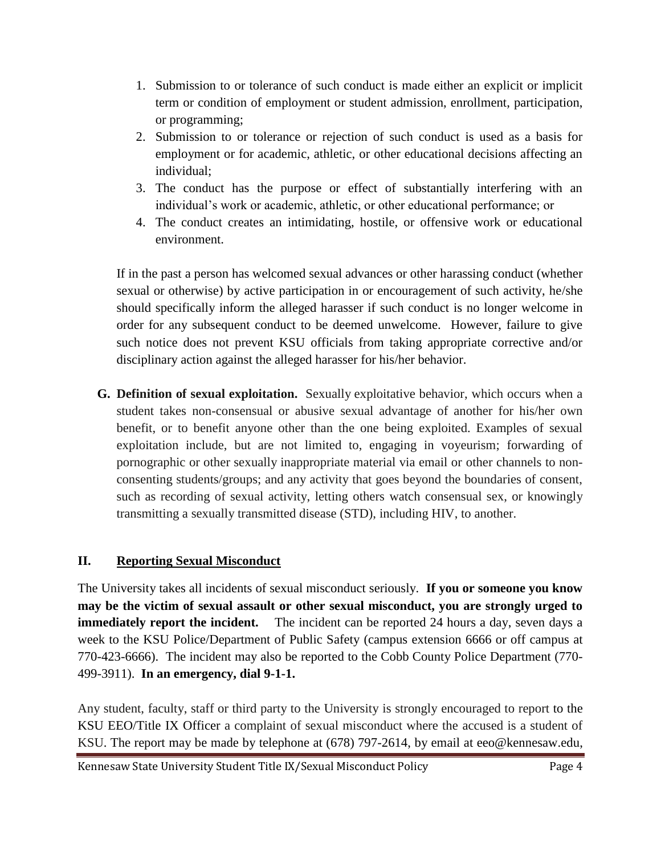- 1. Submission to or tolerance of such conduct is made either an explicit or implicit term or condition of employment or student admission, enrollment, participation, or programming;
- 2. Submission to or tolerance or rejection of such conduct is used as a basis for employment or for academic, athletic, or other educational decisions affecting an individual;
- 3. The conduct has the purpose or effect of substantially interfering with an individual's work or academic, athletic, or other educational performance; or
- 4. The conduct creates an intimidating, hostile, or offensive work or educational environment.

If in the past a person has welcomed sexual advances or other harassing conduct (whether sexual or otherwise) by active participation in or encouragement of such activity, he/she should specifically inform the alleged harasser if such conduct is no longer welcome in order for any subsequent conduct to be deemed unwelcome. However, failure to give such notice does not prevent KSU officials from taking appropriate corrective and/or disciplinary action against the alleged harasser for his/her behavior.

**G. Definition of sexual exploitation.** Sexually exploitative behavior, which occurs when a student takes non-consensual or abusive sexual advantage of another for his/her own benefit, or to benefit anyone other than the one being exploited. Examples of sexual exploitation include, but are not limited to, engaging in voyeurism; forwarding of pornographic or other sexually inappropriate material via email or other channels to nonconsenting students/groups; and any activity that goes beyond the boundaries of consent, such as recording of sexual activity, letting others watch consensual sex, or knowingly transmitting a sexually transmitted disease (STD), including HIV, to another.

## **II. Reporting Sexual Misconduct**

The University takes all incidents of sexual misconduct seriously. **If you or someone you know may be the victim of sexual assault or other sexual misconduct, you are strongly urged to immediately report the incident.** The incident can be reported 24 hours a day, seven days a week to the KSU Police/Department of Public Safety (campus extension 6666 or off campus at 770-423-6666). The incident may also be reported to the Cobb County Police Department (770- 499-3911). **In an emergency, dial 9-1-1.**

Any student, faculty, staff or third party to the University is strongly encouraged to report to the KSU EEO/Title IX Officer a complaint of sexual misconduct where the accused is a student of KSU. The report may be made by telephone at (678) 797-2614, by email at eeo@kennesaw.edu,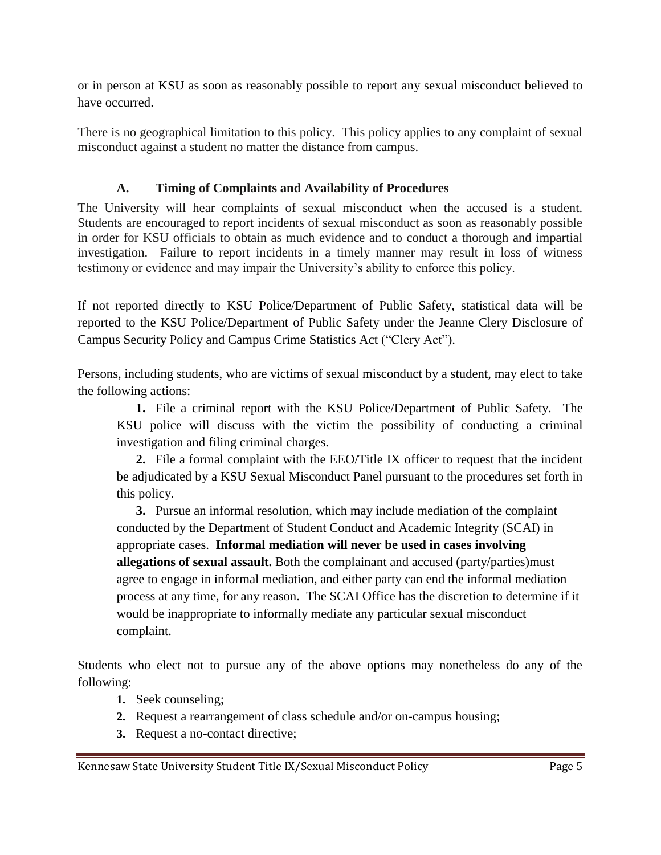or in person at KSU as soon as reasonably possible to report any sexual misconduct believed to have occurred.

There is no geographical limitation to this policy. This policy applies to any complaint of sexual misconduct against a student no matter the distance from campus.

## **A. Timing of Complaints and Availability of Procedures**

The University will hear complaints of sexual misconduct when the accused is a student. Students are encouraged to report incidents of sexual misconduct as soon as reasonably possible in order for KSU officials to obtain as much evidence and to conduct a thorough and impartial investigation. Failure to report incidents in a timely manner may result in loss of witness testimony or evidence and may impair the University's ability to enforce this policy.

If not reported directly to KSU Police/Department of Public Safety, statistical data will be reported to the KSU Police/Department of Public Safety under the Jeanne Clery Disclosure of Campus Security Policy and Campus Crime Statistics Act ("Clery Act").

Persons, including students, who are victims of sexual misconduct by a student, may elect to take the following actions:

**1.** File a criminal report with the KSU Police/Department of Public Safety. The KSU police will discuss with the victim the possibility of conducting a criminal investigation and filing criminal charges.

**2.** File a formal complaint with the EEO/Title IX officer to request that the incident be adjudicated by a KSU Sexual Misconduct Panel pursuant to the procedures set forth in this policy.

**3.** Pursue an informal resolution, which may include mediation of the complaint conducted by the Department of Student Conduct and Academic Integrity (SCAI) in appropriate cases. **Informal mediation will never be used in cases involving allegations of sexual assault.** Both the complainant and accused (party/parties)must agree to engage in informal mediation, and either party can end the informal mediation process at any time, for any reason. The SCAI Office has the discretion to determine if it would be inappropriate to informally mediate any particular sexual misconduct complaint.

Students who elect not to pursue any of the above options may nonetheless do any of the following:

- **1.** Seek counseling;
- **2.** Request a rearrangement of class schedule and/or on-campus housing;
- **3.** Request a no-contact directive;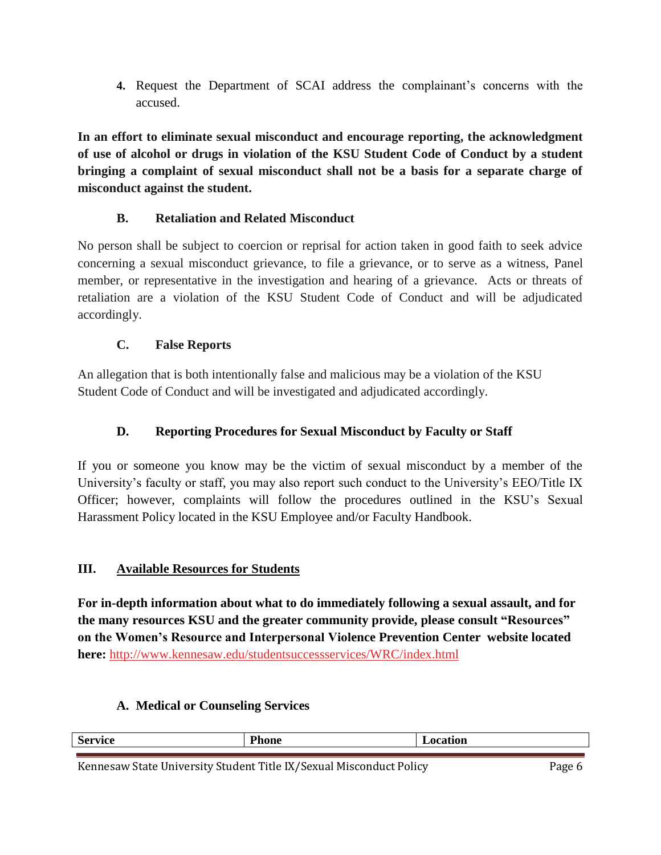**4.** Request the Department of SCAI address the complainant's concerns with the accused.

**In an effort to eliminate sexual misconduct and encourage reporting, the acknowledgment of use of alcohol or drugs in violation of the KSU Student Code of Conduct by a student bringing a complaint of sexual misconduct shall not be a basis for a separate charge of misconduct against the student.** 

## **B. Retaliation and Related Misconduct**

No person shall be subject to coercion or reprisal for action taken in good faith to seek advice concerning a sexual misconduct grievance, to file a grievance, or to serve as a witness, Panel member, or representative in the investigation and hearing of a grievance. Acts or threats of retaliation are a violation of the KSU Student Code of Conduct and will be adjudicated accordingly.

## **C. False Reports**

An allegation that is both intentionally false and malicious may be a violation of the KSU Student Code of Conduct and will be investigated and adjudicated accordingly.

## **D. Reporting Procedures for Sexual Misconduct by Faculty or Staff**

If you or someone you know may be the victim of sexual misconduct by a member of the University's faculty or staff, you may also report such conduct to the University's EEO/Title IX Officer; however, complaints will follow the procedures outlined in the KSU's Sexual Harassment Policy located in the KSU Employee and/or Faculty Handbook.

## **III. Available Resources for Students**

**For in-depth information about what to do immediately following a sexual assault, and for the many resources KSU and the greater community provide, please consult "Resources" on the Women's Resource and Interpersonal Violence Prevention Center website located here:** <http://www.kennesaw.edu/studentsuccessservices/WRC/index.html>

#### **A. Medical or Counseling Services**

| $\sim$<br>$'$ o wydan<br>DC. | and the company of the company<br>T.<br>$- - -$<br>понс<br>_____ | $-$<br>$\sim$ |
|------------------------------|------------------------------------------------------------------|---------------|
|                              |                                                                  |               |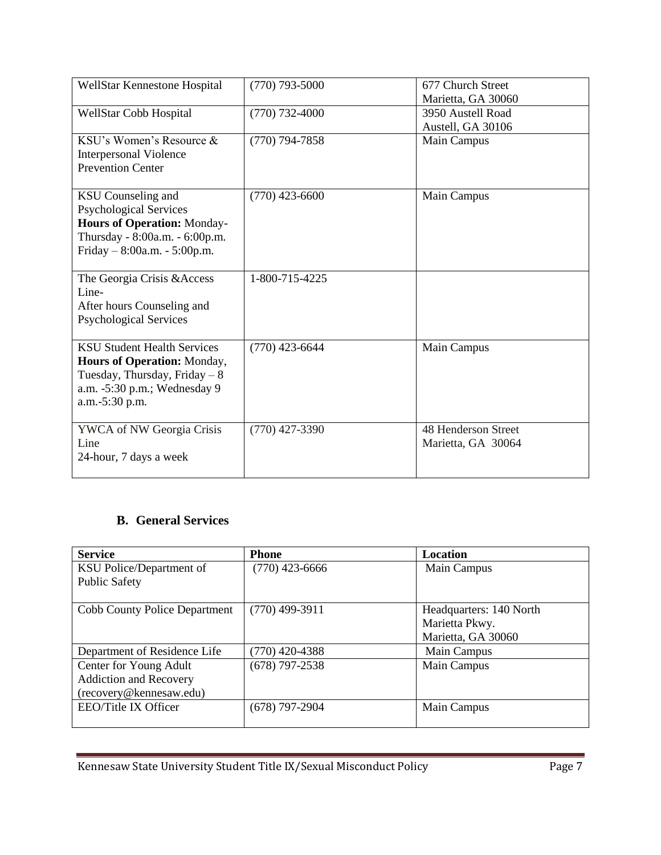| WellStar Kennestone Hospital                                                                                                                                         | $(770)$ 793-5000   | 677 Church Street<br>Marietta, GA 30060   |
|----------------------------------------------------------------------------------------------------------------------------------------------------------------------|--------------------|-------------------------------------------|
| WellStar Cobb Hospital                                                                                                                                               | $(770) 732 - 4000$ | 3950 Austell Road<br>Austell, GA 30106    |
| KSU's Women's Resource &<br><b>Interpersonal Violence</b><br><b>Prevention Center</b>                                                                                | $(770)$ 794-7858   | Main Campus                               |
| <b>KSU</b> Counseling and<br><b>Psychological Services</b><br><b>Hours of Operation: Monday-</b><br>Thursday - 8:00a.m. - 6:00p.m.<br>Friday – $8:00a.m. - 5:00p.m.$ | $(770)$ 423-6600   | Main Campus                               |
| The Georgia Crisis & Access<br>Line-<br>After hours Counseling and<br><b>Psychological Services</b>                                                                  | 1-800-715-4225     |                                           |
| <b>KSU Student Health Services</b><br>Hours of Operation: Monday,<br>Tuesday, Thursday, Friday $-8$<br>a.m. -5:30 p.m.; Wednesday 9<br>a.m.-5:30 p.m.                | $(770)$ 423-6644   | Main Campus                               |
| YWCA of NW Georgia Crisis<br>Line<br>24-hour, 7 days a week                                                                                                          | $(770)$ 427-3390   | 48 Henderson Street<br>Marietta, GA 30064 |

## **B. General Services**

| <b>Service</b>                       | <b>Phone</b>     | Location                |
|--------------------------------------|------------------|-------------------------|
| KSU Police/Department of             | (770) 423-6666   | Main Campus             |
| <b>Public Safety</b>                 |                  |                         |
| <b>Cobb County Police Department</b> | $(770)$ 499-3911 | Headquarters: 140 North |
|                                      |                  | Marietta Pkwy.          |
|                                      |                  | Marietta, GA 30060      |
| Department of Residence Life         | $(770)$ 420-4388 | Main Campus             |
| Center for Young Adult               | $(678)$ 797-2538 | Main Campus             |
| <b>Addiction and Recovery</b>        |                  |                         |
| (recovery@kennesaw.edu)              |                  |                         |
| EEO/Title IX Officer                 | $(678)$ 797-2904 | Main Campus             |
|                                      |                  |                         |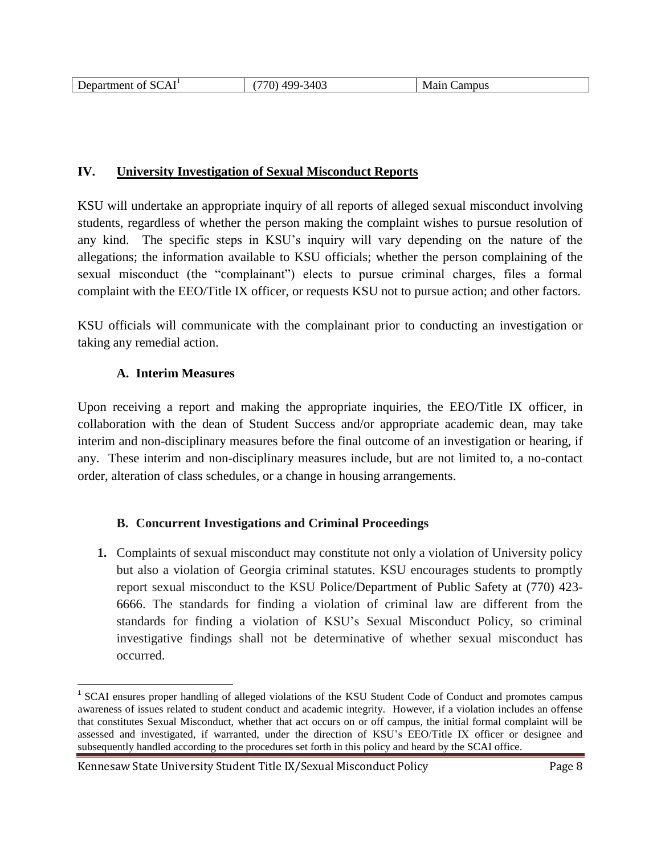| $\sim$<br>$\blacksquare$<br>-<br>Λ.<br>$\rho$ er<br>$\sim$<br>-01<br>жла<br>∪∆<br>______ | 340 <sup>2</sup><br>$\sim$<br>ററ<br>rv.<br>. .<br>___ | Mair<br><b>Lampus</b><br>____ |
|------------------------------------------------------------------------------------------|-------------------------------------------------------|-------------------------------|
|------------------------------------------------------------------------------------------|-------------------------------------------------------|-------------------------------|

#### **IV. University Investigation of Sexual Misconduct Reports**

KSU will undertake an appropriate inquiry of all reports of alleged sexual misconduct involving students, regardless of whether the person making the complaint wishes to pursue resolution of any kind. The specific steps in KSU's inquiry will vary depending on the nature of the allegations; the information available to KSU officials; whether the person complaining of the sexual misconduct (the "complainant") elects to pursue criminal charges, files a formal complaint with the EEO/Title IX officer, or requests KSU not to pursue action; and other factors.

KSU officials will communicate with the complainant prior to conducting an investigation or taking any remedial action.

#### **A. Interim Measures**

 $\overline{\phantom{a}}$ 

Upon receiving a report and making the appropriate inquiries, the EEO/Title IX officer, in collaboration with the dean of Student Success and/or appropriate academic dean, may take interim and non-disciplinary measures before the final outcome of an investigation or hearing, if any. These interim and non-disciplinary measures include, but are not limited to, a no-contact order, alteration of class schedules, or a change in housing arrangements.

#### **B. Concurrent Investigations and Criminal Proceedings**

**1.** Complaints of sexual misconduct may constitute not only a violation of University policy but also a violation of Georgia criminal statutes. KSU encourages students to promptly report sexual misconduct to the KSU Police/Department of Public Safety at (770) 423- 6666. The standards for finding a violation of criminal law are different from the standards for finding a violation of KSU's Sexual Misconduct Policy, so criminal investigative findings shall not be determinative of whether sexual misconduct has occurred.

<sup>&</sup>lt;sup>1</sup> SCAI ensures proper handling of alleged violations of the KSU Student Code of Conduct and promotes campus awareness of issues related to student conduct and academic integrity. However, if a violation includes an offense that constitutes Sexual Misconduct, whether that act occurs on or off campus, the initial formal complaint will be assessed and investigated, if warranted, under the direction of KSU's EEO/Title IX officer or designee and subsequently handled according to the procedures set forth in this policy and heard by the SCAI office.

Kennesaw State University Student Title IX/Sexual Misconduct Policy Page 8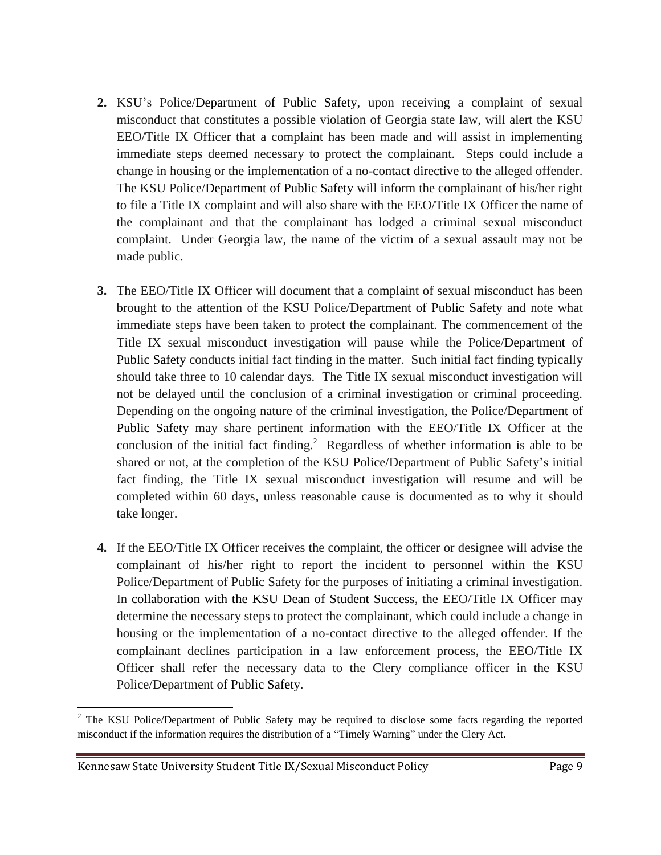- **2.** KSU's Police/Department of Public Safety, upon receiving a complaint of sexual misconduct that constitutes a possible violation of Georgia state law, will alert the KSU EEO/Title IX Officer that a complaint has been made and will assist in implementing immediate steps deemed necessary to protect the complainant. Steps could include a change in housing or the implementation of a no-contact directive to the alleged offender. The KSU Police/Department of Public Safety will inform the complainant of his/her right to file a Title IX complaint and will also share with the EEO/Title IX Officer the name of the complainant and that the complainant has lodged a criminal sexual misconduct complaint. Under Georgia law, the name of the victim of a sexual assault may not be made public.
- **3.** The EEO/Title IX Officer will document that a complaint of sexual misconduct has been brought to the attention of the KSU Police/Department of Public Safety and note what immediate steps have been taken to protect the complainant. The commencement of the Title IX sexual misconduct investigation will pause while the Police/Department of Public Safety conducts initial fact finding in the matter. Such initial fact finding typically should take three to 10 calendar days. The Title IX sexual misconduct investigation will not be delayed until the conclusion of a criminal investigation or criminal proceeding. Depending on the ongoing nature of the criminal investigation, the Police/Department of Public Safety may share pertinent information with the EEO/Title IX Officer at the conclusion of the initial fact finding.<sup>2</sup> Regardless of whether information is able to be shared or not, at the completion of the KSU Police/Department of Public Safety's initial fact finding, the Title IX sexual misconduct investigation will resume and will be completed within 60 days, unless reasonable cause is documented as to why it should take longer.
- **4.** If the EEO/Title IX Officer receives the complaint, the officer or designee will advise the complainant of his/her right to report the incident to personnel within the KSU Police/Department of Public Safety for the purposes of initiating a criminal investigation. In collaboration with the KSU Dean of Student Success, the EEO/Title IX Officer may determine the necessary steps to protect the complainant, which could include a change in housing or the implementation of a no-contact directive to the alleged offender. If the complainant declines participation in a law enforcement process, the EEO/Title IX Officer shall refer the necessary data to the Clery compliance officer in the KSU Police/Department of Public Safety.

 $\overline{\phantom{a}}$  $2$  The KSU Police/Department of Public Safety may be required to disclose some facts regarding the reported misconduct if the information requires the distribution of a "Timely Warning" under the Clery Act.

Kennesaw State University Student Title IX/Sexual Misconduct Policy Page 9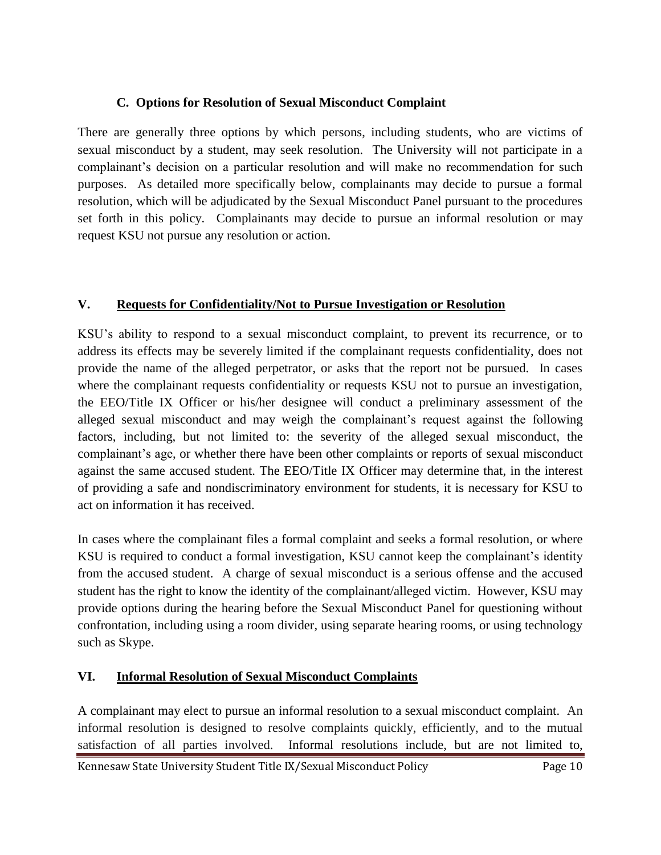#### **C. Options for Resolution of Sexual Misconduct Complaint**

There are generally three options by which persons, including students, who are victims of sexual misconduct by a student, may seek resolution. The University will not participate in a complainant's decision on a particular resolution and will make no recommendation for such purposes. As detailed more specifically below, complainants may decide to pursue a formal resolution, which will be adjudicated by the Sexual Misconduct Panel pursuant to the procedures set forth in this policy. Complainants may decide to pursue an informal resolution or may request KSU not pursue any resolution or action.

## **V. Requests for Confidentiality/Not to Pursue Investigation or Resolution**

KSU's ability to respond to a sexual misconduct complaint, to prevent its recurrence, or to address its effects may be severely limited if the complainant requests confidentiality, does not provide the name of the alleged perpetrator, or asks that the report not be pursued. In cases where the complainant requests confidentiality or requests KSU not to pursue an investigation, the EEO/Title IX Officer or his/her designee will conduct a preliminary assessment of the alleged sexual misconduct and may weigh the complainant's request against the following factors, including, but not limited to: the severity of the alleged sexual misconduct, the complainant's age, or whether there have been other complaints or reports of sexual misconduct against the same accused student. The EEO/Title IX Officer may determine that, in the interest of providing a safe and nondiscriminatory environment for students, it is necessary for KSU to act on information it has received.

In cases where the complainant files a formal complaint and seeks a formal resolution, or where KSU is required to conduct a formal investigation, KSU cannot keep the complainant's identity from the accused student. A charge of sexual misconduct is a serious offense and the accused student has the right to know the identity of the complainant/alleged victim. However, KSU may provide options during the hearing before the Sexual Misconduct Panel for questioning without confrontation, including using a room divider, using separate hearing rooms, or using technology such as Skype.

## **VI. Informal Resolution of Sexual Misconduct Complaints**

A complainant may elect to pursue an informal resolution to a sexual misconduct complaint. An informal resolution is designed to resolve complaints quickly, efficiently, and to the mutual satisfaction of all parties involved. Informal resolutions include, but are not limited to,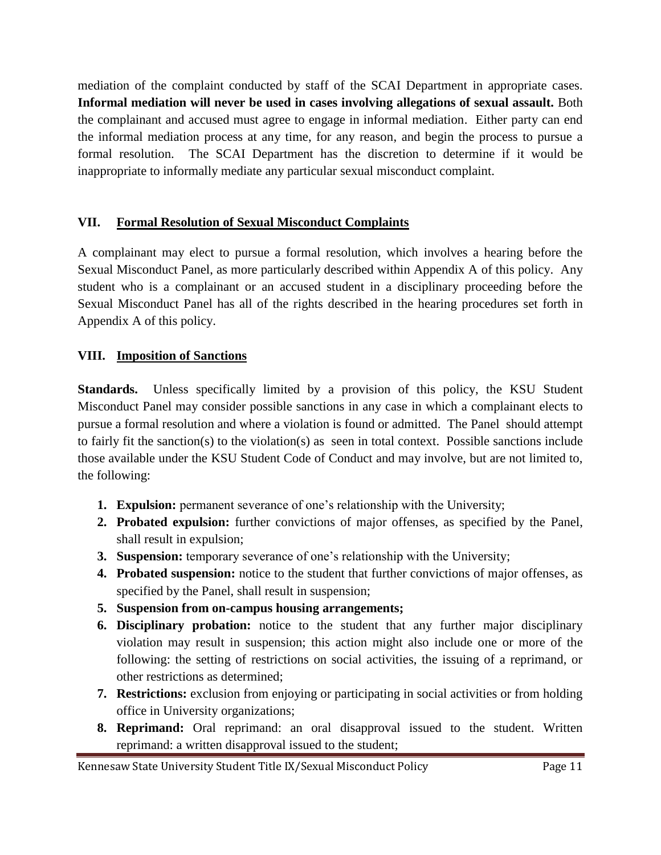mediation of the complaint conducted by staff of the SCAI Department in appropriate cases. **Informal mediation will never be used in cases involving allegations of sexual assault.** Both the complainant and accused must agree to engage in informal mediation. Either party can end the informal mediation process at any time, for any reason, and begin the process to pursue a formal resolution. The SCAI Department has the discretion to determine if it would be inappropriate to informally mediate any particular sexual misconduct complaint.

## **VII. Formal Resolution of Sexual Misconduct Complaints**

A complainant may elect to pursue a formal resolution, which involves a hearing before the Sexual Misconduct Panel, as more particularly described within Appendix A of this policy. Any student who is a complainant or an accused student in a disciplinary proceeding before the Sexual Misconduct Panel has all of the rights described in the hearing procedures set forth in Appendix A of this policy.

## **VIII. Imposition of Sanctions**

**Standards.** Unless specifically limited by a provision of this policy, the KSU Student Misconduct Panel may consider possible sanctions in any case in which a complainant elects to pursue a formal resolution and where a violation is found or admitted. The Panel should attempt to fairly fit the sanction(s) to the violation(s) as seen in total context. Possible sanctions include those available under the KSU Student Code of Conduct and may involve, but are not limited to, the following:

- **1. Expulsion:** permanent severance of one's relationship with the University;
- **2. Probated expulsion:** further convictions of major offenses, as specified by the Panel, shall result in expulsion;
- **3. Suspension:** temporary severance of one's relationship with the University;
- **4. Probated suspension:** notice to the student that further convictions of major offenses, as specified by the Panel, shall result in suspension;
- **5. Suspension from on-campus housing arrangements;**
- **6. Disciplinary probation:** notice to the student that any further major disciplinary violation may result in suspension; this action might also include one or more of the following: the setting of restrictions on social activities, the issuing of a reprimand, or other restrictions as determined;
- **7. Restrictions:** exclusion from enjoying or participating in social activities or from holding office in University organizations;
- **8. Reprimand:** Oral reprimand: an oral disapproval issued to the student. Written reprimand: a written disapproval issued to the student;